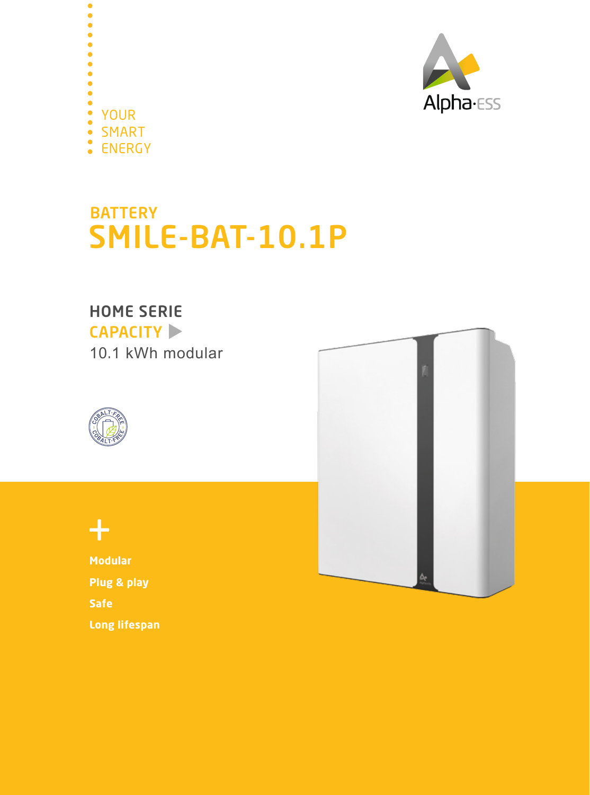



## **BATTERY** SMILE-BAT-10.1P

#### HOME SERIE

CAPACITY  $\blacktriangleright$ 10.1 kWh modular





### $+$

**Modular Plug & play Safe Long lifespan**